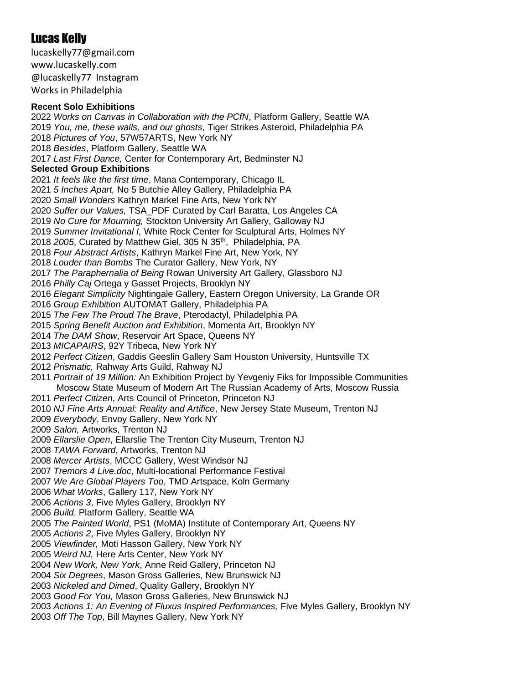# Lucas Kelly

lucaskelly77@gmail.com www.lucaskelly.com @lucaskelly77 Instagram Works in Philadelphia

#### **Recent Solo Exhibitions**

 *Works on Canvas in Collaboration with the PCfN*, Platform Gallery, Seattle WA *You, me, these walls, and our ghosts*, Tiger Strikes Asteroid, Philadelphia PA *Pictures of You*, 57W57ARTS, New York NY *Besides*, Platform Gallery, Seattle WA *Last First Dance,* Center for Contemporary Art, Bedminster NJ **Selected Group Exhibitions** *It feels like the first time*, Mana Contemporary, Chicago IL *5 Inches Apart,* No 5 Butchie Alley Gallery, Philadelphia PA *Small Wonders* Kathryn Markel Fine Arts, New York NY *Suffer our Values,* TSA\_PDF Curated by Carl Baratta, Los Angeles CA *No Cure for Mourning,* Stockton University Art Gallery, Galloway NJ *Summer Invitational I,* White Rock Center for Sculptural Arts, Holmes NY *2005*, Curated by Matthew Giel, 305 N 35th, Philadelphia, PA *Four Abstract Artists*, Kathryn Markel Fine Art, New York, NY *Louder than Bombs* The Curator Gallery, New York, NY *The Paraphernalia of Being* Rowan University Art Gallery, Glassboro NJ *Philly Caj* Ortega y Gasset Projects, Brooklyn NY *Elegant Simplicity* Nightingale Gallery, Eastern Oregon University, La Grande OR *Group Exhibition* AUTOMAT Gallery, Philadelphia PA *The Few The Proud The Brave*, Pterodactyl, Philadelphia PA *Spring Benefit Auction and Exhibition*, Momenta Art, Brooklyn NY *The DAM Show*, Reservoir Art Space, Queens NY *MICAPAIRS*, 92Y Tribeca, New York NY *Perfect Citizen*, Gaddis Geeslin Gallery Sam Houston University, Huntsville TX *Prismatic,* Rahway Arts Guild, Rahway NJ *Portrait of 19 Million:* An Exhibition Project by Yevgeniy Fiks for Impossible Communities Moscow State Museum of Modern Art The Russian Academy of Arts, Moscow Russia *Perfect Citizen*, Arts Council of Princeton, Princeton NJ *NJ Fine Arts Annual: Reality and Artifice*, New Jersey State Museum, Trenton NJ *Everybody*, Envoy Gallery, New York NY *Salon,* Artworks, Trenton NJ *Ellarslie Open*, Ellarslie The Trenton City Museum, Trenton NJ *TAWA Forward*, Artworks, Trenton NJ *Mercer Artists*, MCCC Gallery, West Windsor NJ *Tremors 4 Live.doc*, Multi-locational Performance Festival *We Are Global Players Too*, TMD Artspace, Koln Germany *What Works*, Gallery 117, New York NY *Actions 3*, Five Myles Gallery, Brooklyn NY *Build*, Platform Gallery, Seattle WA *The Painted World*, PS1 (MoMA) Institute of Contemporary Art, Queens NY *Actions 2*, Five Myles Gallery, Brooklyn NY *Viewfinder,* Moti Hasson Gallery, New York NY *Weird NJ,* Here Arts Center, New York NY *New Work, New York*, Anne Reid Gallery, Princeton NJ *Six Degrees*, Mason Gross Galleries, New Brunswick NJ *Nickeled and Dimed*, Quality Gallery, Brooklyn NY *Good For You,* Mason Gross Galleries, New Brunswick NJ

*Actions 1: An Evening of Fluxus Inspired Performances,* Five Myles Gallery, Brooklyn NY

*Off The Top*, Bill Maynes Gallery, New York NY